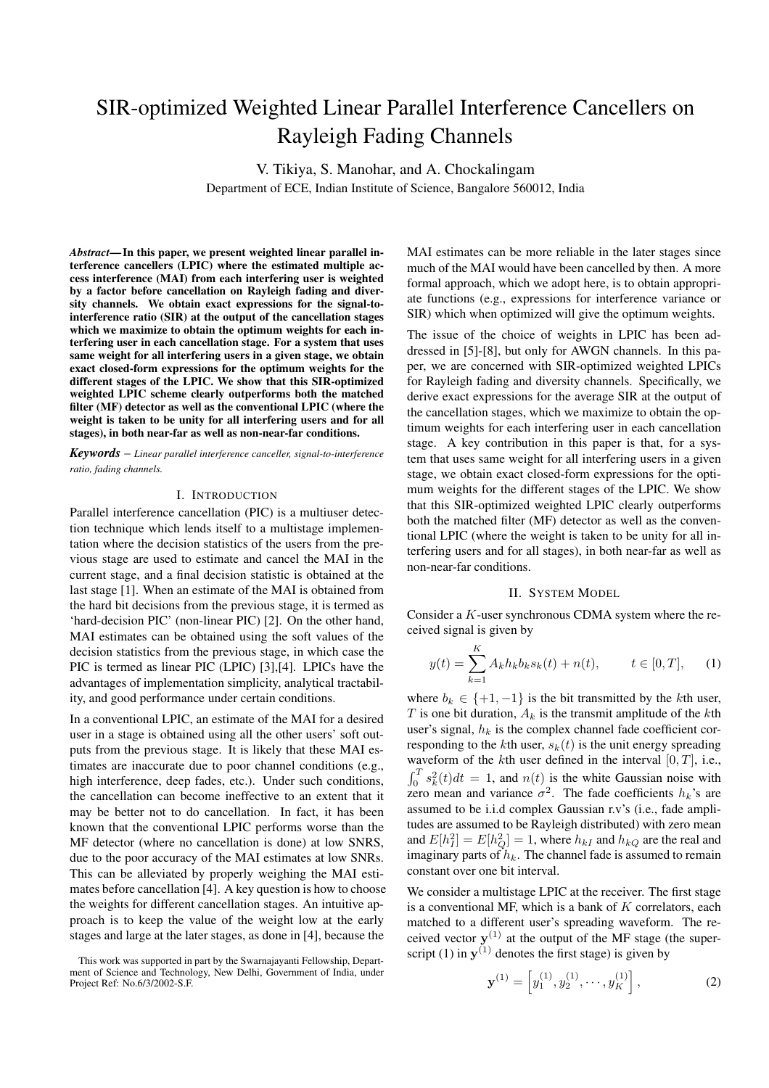# SIR-optimized Weighted Linear Parallel Interference Cancellers on Rayleigh Fading Channels

V. Tikiya, S. Manohar, and A. Chockalingam

Department of ECE, Indian Institute of Science, Bangalore 560012, India

*Abstract***—In this paper, we present weighted linear parallel interference cancellers (LPIC) where the estimated multiple access interference (MAI) from each interfering user is weighted by a factor before cancellation on Rayleigh fading and diversity channels. We obtain exact expressions for the signal-tointerference ratio (SIR) at the output of the cancellation stages which we maximize to obtain the optimum weights for each interfering user in each cancellation stage. For a system that uses same weight for all interfering users in a given stage, we obtain exact closed-form expressions for the optimum weights for the different stages of the LPIC. We show that this SIR-optimized weighted LPIC scheme clearly outperforms both the matched filter (MF) detector as well as the conventional LPIC (where the weight is taken to be unity for all interfering users and for all stages), in both near-far as well as non-near-far conditions.**

*Keywords* – *Linear parallel interference canceller, signal-to-interference ratio, fading channels.*

# I. INTRODUCTION

Parallel interference cancellation (PIC) is a multiuser detection technique which lends itself to a multistage implementation where the decision statistics of the users from the previous stage are used to estimate and cancel the MAI in the current stage, and a final decision statistic is obtained at the last stage [1]. When an estimate of the MAI is obtained from the hard bit decisions from the previous stage, it is termed as 'hard-decision PIC' (non-linear PIC) [2]. On the other hand, MAI estimates can be obtained using the soft values of the decision statistics from the previous stage, in which case the PIC is termed as linear PIC (LPIC) [3],[4]. LPICs have the advantages of implementation simplicity, analytical tractability, and good performance under certain conditions.

In a conventional LPIC, an estimate of the MAI for a desired user in a stage is obtained using all the other users' soft outputs from the previous stage. It is likely that these MAI estimates are inaccurate due to poor channel conditions (e.g., high interference, deep fades, etc.). Under such conditions, the cancellation can become ineffective to an extent that it may be better not to do cancellation. In fact, it has been known that the conventional LPIC performs worse than the MF detector (where no cancellation is done) at low SNRS, due to the poor accuracy of the MAI estimates at low SNRs. This can be alleviated by properly weighing the MAI estimates before cancellation [4]. A key question is how to choose the weights for different cancellation stages. An intuitive approach is to keep the value of the weight low at the early stages and large at the later stages, as done in [4], because the

MAI estimates can be more reliable in the later stages since much of the MAI would have been cancelled by then. A more formal approach, which we adopt here, is to obtain appropriate functions (e.g., expressions for interference variance or SIR) which when optimized will give the optimum weights.

The issue of the choice of weights in LPIC has been addressed in [5]-[8], but only for AWGN channels. In this paper, we are concerned with SIR-optimized weighted LPICs for Rayleigh fading and diversity channels. Specifically, we derive exact expressions for the average SIR at the output of the cancellation stages, which we maximize to obtain the optimum weights for each interfering user in each cancellation stage. A key contribution in this paper is that, for a system that uses same weight for all interfering users in a given stage, we obtain exact closed-form expressions for the optimum weights for the different stages of the LPIC. We show that this SIR-optimized weighted LPIC clearly outperforms both the matched filter (MF) detector as well as the conventional LPIC (where the weight is taken to be unity for all interfering users and for all stages), in both near-far as well as non-near-far conditions.

## II. SYSTEM MODEL

Consider a K-user synchronous CDMA system where the received signal is given by

$$
y(t) = \sum_{k=1}^{K} A_k h_k b_k s_k(t) + n(t), \qquad t \in [0, T], \quad (1)
$$

where  $b_k \in \{+1, -1\}$  is the bit transmitted by the kth user, T is one bit duration,  $A_k$  is the transmit amplitude of the kth user's signal,  $h_k$  is the complex channel fade coefficient corresponding to the kth user,  $s_k(t)$  is the unit energy spreading waveform of the kth user defined in the interval  $[0, T]$ , i.e.,  $\int_0^T s_k^2(t)dt = 1$ , and  $n(t)$  is the white Gaussian noise with zero mean and variance  $\sigma^2$ . The fade coefficients  $h_k$ 's are assumed to be i.i.d complex Gaussian r.v's (i.e., fade amplitudes are assumed to be Rayleigh distributed) with zero mean and  $E[h_I^2] = E[h_Q^2] = 1$ , where  $h_{kI}$  and  $h_{kQ}$  are the real and imaginary parts of  $h_k$ . The channel fade is assumed to remain constant over one bit interval.

We consider a multistage LPIC at the receiver. The first stage is a conventional MF, which is a bank of  $K$  correlators, each matched to a different user's spreading waveform. The received vector  $y^{(1)}$  at the output of the MF stage (the superscript (1) in  $y^{(1)}$  denotes the first stage) is given by

$$
\mathbf{y}^{(1)} = \left[ y_1^{(1)}, y_2^{(1)}, \cdots, y_K^{(1)} \right],\tag{2}
$$

This work was supported in part by the Swarnajayanti Fellowship, Department of Science and Technology, New Delhi, Government of India, under Project Ref: No.6/3/2002-S.F.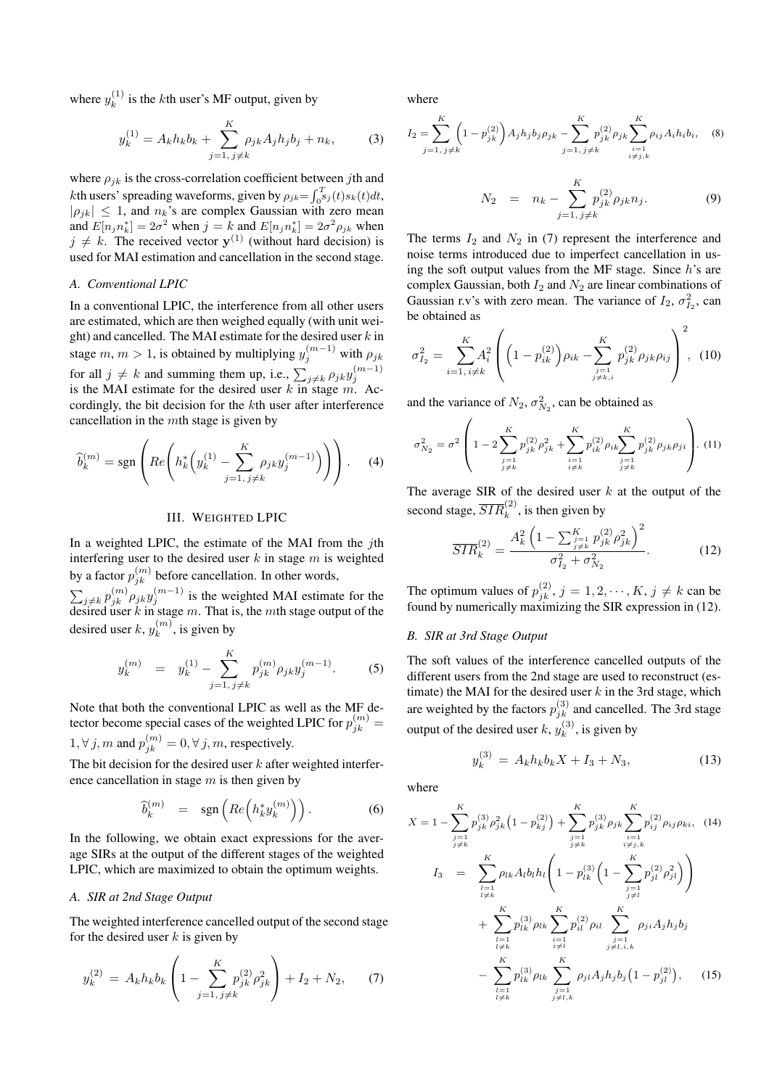where  $y_k^{(1)}$  is the *k*th user's MF output, given by

$$
y_k^{(1)} = A_k h_k b_k + \sum_{j=1, j \neq k}^{K} \rho_{jk} A_j h_j b_j + n_k,
$$
 (3)

where  $\rho_{ik}$  is the cross-correlation coefficient between jth and *k*th users' spreading waveforms, given by  $\rho_{jk} = \int_0^T$  $\int_{0}^{T} s_j(t) s_k(t) dt,$  $|\rho_{jk}| \leq 1$ , and  $n_k$ 's are complex Gaussian with zero mean and  $E[n_j n_k^*] = 2\sigma^2$  when  $j = k$  and  $E[n_j n_k^*] = 2\sigma^2 \rho_{jk}$  when  $j \neq k$ . The received vector **y**<sup>(1)</sup> (without hard decision) is used for MAI estimation and cancellation in the second stage.

# *A. Conventional LPIC*

In a conventional LPIC, the interference from all other users are estimated, which are then weighed equally (with unit weight) and cancelled. The MAI estimate for the desired user  $k$  in stage  $m, m > 1$ , is obtained by multiplying  $y_j^{(m-1)}$  with  $\rho_{jk}$ for all  $j \neq k$  and summing them up, i.e.,  $\sum_{j \neq k} \rho_{jk} y_j^{(m-1)}$ is the MAI estimate for the desired user k in stage m. Accordingly, the bit decision for the kth user after interference cancellation in the mth stage is given by

$$
\widehat{b}_{k}^{(m)} = \text{sgn}\left( Re \left( h_{k}^{*} \left( y_{k}^{(1)} - \sum_{j=1, j \neq k}^{K} \rho_{jk} y_{j}^{(m-1)} \right) \right) \right). \tag{4}
$$

## III. WEIGHTED LPIC

In a weighted LPIC, the estimate of the MAI from the jth interfering user to the desired user  $k$  in stage  $m$  is weighted by a factor  $p_{jk}^{(m)}$  before cancellation. In other words,

 $\sum_{j\neq k} p_{jk}^{(m)} \rho_{jk} y_j^{(m-1)}$  is the weighted MAI estimate for the desired user k in stage m. That is, the mth stage output of the desired user  $k, y_k^{(m)}$ , is given by

$$
y_k^{(m)} = y_k^{(1)} - \sum_{j=1, \, j \neq k}^{K} p_{jk}^{(m)} \rho_{jk} y_j^{(m-1)}.
$$
 (5)

Note that both the conventional LPIC as well as the MF detector become special cases of the weighted LPIC for  $p_{jk}^{(m)} =$  $1, \forall j, m$  and  $p_{jk}^{(m)} = 0, \forall j, m$ , respectively.

The bit decision for the desired user  $k$  after weighted interference cancellation in stage  $m$  is then given by

$$
\widehat{b}_k^{(m)} = \operatorname{sgn}\left(Re\left(h_k^* y_k^{(m)}\right)\right). \tag{6}
$$

In the following, we obtain exact expressions for the average SIRs at the output of the different stages of the weighted LPIC, which are maximized to obtain the optimum weights.

# *A. SIR at 2nd Stage Output*

The weighted interference cancelled output of the second stage for the desired user  $k$  is given by

$$
y_k^{(2)} = A_k h_k b_k \left( 1 - \sum_{j=1, j \neq k}^{K} p_{jk}^{(2)} \rho_{jk}^2 \right) + I_2 + N_2, \tag{7}
$$

where

$$
I_2 = \sum_{j=1, j \neq k}^{K} \left(1 - p_{jk}^{(2)}\right) A_j h_j b_j \rho_{jk} - \sum_{j=1, j \neq k}^{K} p_{jk}^{(2)} \rho_{jk} \sum_{\substack{i=1 \\ i \neq j, k}}^{K} \rho_{ij} A_i h_i b_i, \quad (8)
$$

$$
N_2 = n_k - \sum_{j=1, j \neq k}^{K} p_{jk}^{(2)} \rho_{jk} n_j.
$$
 (9)

The terms  $I_2$  and  $N_2$  in (7) represent the interference and noise terms introduced due to imperfect cancellation in using the soft output values from the MF stage. Since  $h$ 's are complex Gaussian, both  $I_2$  and  $N_2$  are linear combinations of Gaussian r.v's with zero mean. The variance of  $I_2$ ,  $\sigma_{I_2}^2$ , can be obtained as

$$
\sigma_{I_2}^2 = \sum_{i=1, i \neq k}^{K} A_i^2 \left( \left( 1 - p_{ik}^{(2)} \right) \rho_{ik} - \sum_{\substack{j=1 \\ j \neq k, i}}^{K} p_{jk}^{(2)} \rho_{jk} \rho_{ij} \right)^2, (10)
$$

and the variance of  $N_2$ ,  $\sigma_{N_2}^2$ , can be obtained as

$$
\sigma_{N_2}^2 = \sigma^2 \left( 1 - 2 \sum_{\substack{j=1 \ j \neq k}}^K p_{jk}^{(2)} \rho_{jk}^2 + \sum_{\substack{i=1 \ i \neq k}}^K p_{ik}^{(2)} \rho_{ik} \sum_{\substack{j=1 \ j \neq k}}^K p_{jk}^{(2)} \rho_{jk} \rho_{ji} \right). (11)
$$

The average SIR of the desired user  $k$  at the output of the second stage,  $\overline{SIR}_k^{(2)}$ , is then given by

$$
\overline{SIR}_k^{(2)} = \frac{A_k^2 \left(1 - \sum_{\substack{j=1 \ j \neq k}}^K p_{jk}^{(2)} \rho_{jk}^2\right)^2}{\sigma_{I_2}^2 + \sigma_{N_2}^2}.
$$
 (12)

The optimum values of  $p_{jk}^{(2)}$ ,  $j = 1, 2, \dots, K$ ,  $j \neq k$  can be found by numerically maximizing the SIR expression in (12).

#### *B. SIR at 3rd Stage Output*

The soft values of the interference cancelled outputs of the different users from the 2nd stage are used to reconstruct (estimate) the MAI for the desired user  $k$  in the 3rd stage, which are weighted by the factors  $p_{jk}^{(3)}$  and cancelled. The 3rd stage output of the desired user  $k$ ,  $y_k^{(3)}$ , is given by

$$
y_k^{(3)} = A_k h_k b_k X + I_3 + N_3,
$$
\n(13)

where

$$
X = 1 - \sum_{\substack{j=1 \ i \neq k}}^{K} p_{jk}^{(3)} \rho_{jk}^2 \left(1 - p_{kj}^{(2)}\right) + \sum_{\substack{j=1 \ i \neq k}}^{K} p_{jk}^{(3)} \rho_{jk} \sum_{\substack{i=1 \ i \neq j,k}}^{K} p_{ij}^{(2)} \rho_{ij} \rho_{ki}, \quad (14)
$$
  

$$
I_3 = \sum_{\substack{l=1 \ l \neq k}}^{K} \rho_{lk} A_l b_l h_l \left(1 - p_{lk}^{(3)} \left(1 - \sum_{\substack{j=1 \ j \neq l}}^{K} p_{jl}^{(2)} \rho_{jl}^2\right)\right)
$$

$$
+ \sum_{\substack{l=1 \ l \neq k}}^{K} p_{lk}^{(3)} \rho_{lk} \sum_{\substack{i=1 \ i \neq l}}^{K} p_{il}^{(2)} \rho_{il} \sum_{\substack{j=1 \ j \neq l,i,k}}^{K} \rho_{ji} A_j h_j b_j
$$

$$
- \sum_{\substack{l=1 \ l \neq k}}^{K} p_{lk}^{(3)} \rho_{lk} \sum_{\substack{j=1 \ i \neq l,i,k}}^{K} \rho_{jl} A_j h_j b_j \left(1 - p_{jl}^{(2)}\right), \quad (15)
$$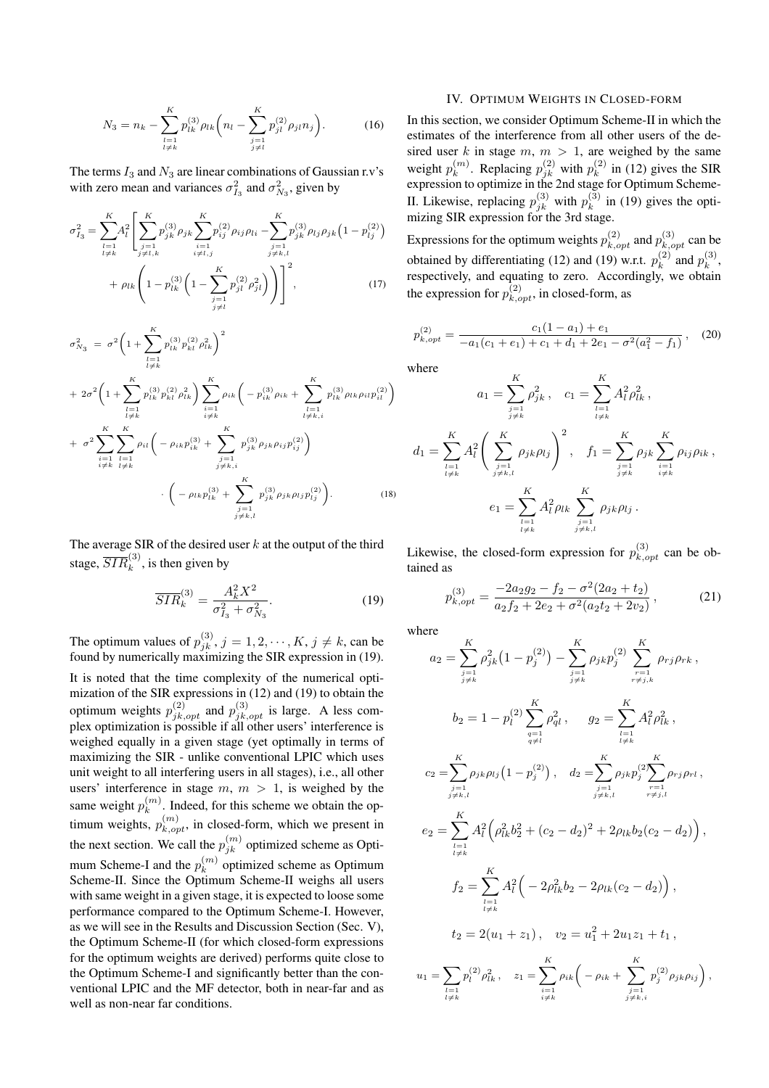$$
N_3 = n_k - \sum_{\substack{l=1\\l \neq k}}^K p_{lk}^{(3)} \rho_{lk} \left( n_l - \sum_{\substack{j=1\\j \neq l}}^K p_{jl}^{(2)} \rho_{jl} n_j \right). \tag{16}
$$

The terms  $I_3$  and  $N_3$  are linear combinations of Gaussian r.v's with zero mean and variances  $\sigma_{I_3}^2$  and  $\sigma_{N_3}^2$ , given by

$$
\sigma_{I_3}^2 = \sum_{\substack{l=1 \ l \neq k}}^K A_l^2 \left[ \sum_{\substack{j=1 \ j \neq l,k}}^K p_{jk}^{(3)} \rho_{jk} \sum_{\substack{i=1 \ i \neq l,j}}^K p_{ij}^{(2)} \rho_{ij} \rho_{li} - \sum_{\substack{j=1 \ j \neq k,l}}^K p_{jk}^{(3)} \rho_{lj} \rho_{jk} \left( 1 - p_{lj}^{(2)} \right) \right] + \rho_{lk} \left( 1 - p_{lk}^{(3)} \left( 1 - \sum_{\substack{j=1 \ j \neq l}}^K p_{jl}^{(2)} \rho_{jl}^2 \right) \right)^2, \tag{17}
$$

$$
\sigma_{N_3}^2 = \sigma^2 \left( 1 + \sum_{\substack{l=1 \ l \neq k}}^K p_{lk}^{(3)} p_{kl}^{(2)} \rho_{lk}^2 \right)^2
$$
  
+  $2\sigma^2 \left( 1 + \sum_{\substack{l=1 \ l \neq k}}^K p_{lk}^{(3)} p_{kl}^{(2)} \rho_{lk}^2 \right) \sum_{\substack{i=1 \ i \neq k}}^K \rho_{ik} \left( -p_{ik}^{(3)} \rho_{ik} + \sum_{\substack{l=1 \ l \neq k,i}}^K p_{lk}^{(3)} \rho_{lk} \rho_{il} p_{il}^{(2)} \right)$   
+  $\sigma^2 \sum_{\substack{i=1 \ i \neq k}}^K \sum_{\substack{l=1 \ l \neq k}}^K \rho_{il} \left( -\rho_{ik} p_{ik}^{(3)} + \sum_{\substack{j=1 \ j \neq k,i}}^K p_{jk}^{(3)} \rho_{jk} \rho_{ij} p_{ij}^{(2)} \right)$   
-  $\left( -\rho_{lk} p_{lk}^{(3)} + \sum_{\substack{j=1 \ j \neq k,i}}^K p_{jk}^{(3)} \rho_{jk} \rho_{lj} p_{lj}^{(2)} \right)$ . (18)

The average SIR of the desired user  $k$  at the output of the third stage,  $\overline{SIR}_k^{(3)}$ , is then given by

$$
\overline{SIR}_k^{(3)} = \frac{A_k^2 X^2}{\sigma_{I_3}^2 + \sigma_{N_3}^2}.
$$
 (19)

The optimum values of  $p_{jk}^{(3)}$ ,  $j = 1, 2, \dots, K$ ,  $j \neq k$ , can be found by numerically maximizing the SIR expression in (19).

It is noted that the time complexity of the numerical optimization of the SIR expressions in (12) and (19) to obtain the optimum weights  $p_{jk,opt}^{(2)}$  and  $p_{jk,opt}^{(3)}$  is large. A less complex optimization is possible if all other users' interference is weighed equally in a given stage (yet optimally in terms of maximizing the SIR - unlike conventional LPIC which uses unit weight to all interfering users in all stages), i.e., all other users' interference in stage  $m, m > 1$ , is weighed by the same weight  $p_k^{(m)}$ . Indeed, for this scheme we obtain the optimum weights,  $p_{k,opt}^{(m)}$ , in closed-form, which we present in the next section. We call the  $p_{jk}^{(m)}$  optimized scheme as Optimum Scheme-I and the  $p_k^{(m)}$  optimized scheme as Optimum Scheme-II. Since the Optimum Scheme-II weighs all users with same weight in a given stage, it is expected to loose some performance compared to the Optimum Scheme-I. However, as we will see in the Results and Discussion Section (Sec. V), the Optimum Scheme-II (for which closed-form expressions for the optimum weights are derived) performs quite close to the Optimum Scheme-I and significantly better than the conventional LPIC and the MF detector, both in near-far and as well as non-near far conditions.

## IV. OPTIMUM WEIGHTS IN CLOSED-FORM

In this section, we consider Optimum Scheme-II in which the estimates of the interference from all other users of the desired user k in stage  $m, m > 1$ , are weighed by the same weight  $p_k^{(m)}$ . Replacing  $p_{jk}^{(2)}$  with  $p_k^{(2)}$  in (12) gives the SIR expression to optimize in the 2nd stage for Optimum Scheme-II. Likewise, replacing  $p_{jk}^{(3)}$  with  $p_k^{(3)}$  in (19) gives the optimizing SIR expression for the 3rd stage.

Expressions for the optimum weights  $p_{k,opt}^{(2)}$  and  $p_{k,opt}^{(3)}$  can be obtained by differentiating (12) and (19) w.r.t.  $p_k^{(2)}$  and  $p_k^{(3)}$ , respectively, and equating to zero. Accordingly, we obtain the expression for  $p_{k,opt}^{(2)}$ , in closed-form, as

$$
p_{k,opt}^{(2)} = \frac{c_1(1-a_1) + e_1}{-a_1(c_1 + e_1) + c_1 + d_1 + 2e_1 - \sigma^2(a_1^2 - f_1)},\tag{20}
$$

where

$$
a_1 = \sum_{\substack{j=1 \ i \neq k}}^K \rho_{jk}^2, \quad c_1 = \sum_{\substack{l=1 \ l \neq k}}^K A_l^2 \rho_{lk}^2,
$$

$$
d_1 = \sum_{\substack{l=1 \ l \neq k}}^K A_l^2 \left( \sum_{\substack{j=1 \ j \neq k,l}}^K \rho_{jk} \rho_{lj} \right)^2, \quad f_1 = \sum_{\substack{j=1 \ j \neq k}}^K \rho_{jk} \sum_{\substack{i=1 \ i \neq k}}^K \rho_{ij} \rho_{ik},
$$

$$
e_1 = \sum_{\substack{l=1 \ l \neq k}}^K A_l^2 \rho_{lk} \sum_{\substack{j=1 \ j \neq k,l}}^K \rho_{jk} \rho_{lj}.
$$

Likewise, the closed-form expression for  $p_{k,opt}^{(3)}$  can be obtained as

$$
p_{k,opt}^{(3)} = \frac{-2a_2g_2 - f_2 - \sigma^2(2a_2 + t_2)}{a_2f_2 + 2e_2 + \sigma^2(a_2t_2 + 2v_2)},
$$
 (21)

where

 $u_1$ 

$$
a_{2} = \sum_{\substack{j=1 \ j \neq k}}^{K} \rho_{jk}^{2} (1 - p_{j}^{(2)}) - \sum_{\substack{j=1 \ j \neq k}}^{K} \rho_{jk} p_{j}^{(2)} \sum_{\substack{r=1 \ r \neq j,k}}^{K} \rho_{rj} \rho_{rk} ,
$$
  
\n
$$
b_{2} = 1 - p_{l}^{(2)} \sum_{\substack{q=1 \ q \neq l}}^{K} \rho_{ql}^{2} , \qquad g_{2} = \sum_{\substack{l=1 \ l \neq k}}^{K} A_{l}^{2} \rho_{lk}^{2} ,
$$
  
\n
$$
c_{2} = \sum_{\substack{j=1 \ j \neq k,l}}^{K} \rho_{jk} \rho_{lj} (1 - p_{j}^{(2)}) , \quad d_{2} = \sum_{\substack{j=1 \ j \neq k,l}}^{K} \rho_{jk} p_{j}^{(2)} \sum_{\substack{r=1 \ r \neq j,l}}^{K} \rho_{rj} \rho_{rl} ,
$$
  
\n
$$
e_{2} = \sum_{\substack{l=1 \ l \neq k}}^{K} A_{l}^{2} (\rho_{lk}^{2} b_{2}^{2} + (c_{2} - d_{2})^{2} + 2 \rho_{lk} b_{2} (c_{2} - d_{2})) ,
$$
  
\n
$$
f_{2} = \sum_{\substack{l=1 \ l \neq k}}^{K} A_{l}^{2} (-2 \rho_{lk}^{2} b_{2} - 2 \rho_{lk} (c_{2} - d_{2})) ,
$$
  
\n
$$
t_{2} = 2(u_{1} + z_{1}) , \quad v_{2} = u_{1}^{2} + 2u_{1}z_{1} + t_{1} ,
$$
  
\n
$$
c_{1} = \sum_{\substack{l=1 \ l \neq k}}^{K} p_{l}^{(2)} \rho_{lk}^{2} , \quad z_{1} = \sum_{\substack{i=1 \ i \neq k}}^{K} \rho_{ik}^{2} (-\rho_{ik} + \sum_{\substack{j=1 \ j \neq k,i}}^{K} p_{j}^{(2)} \rho_{jk} \rho_{ij}) ,
$$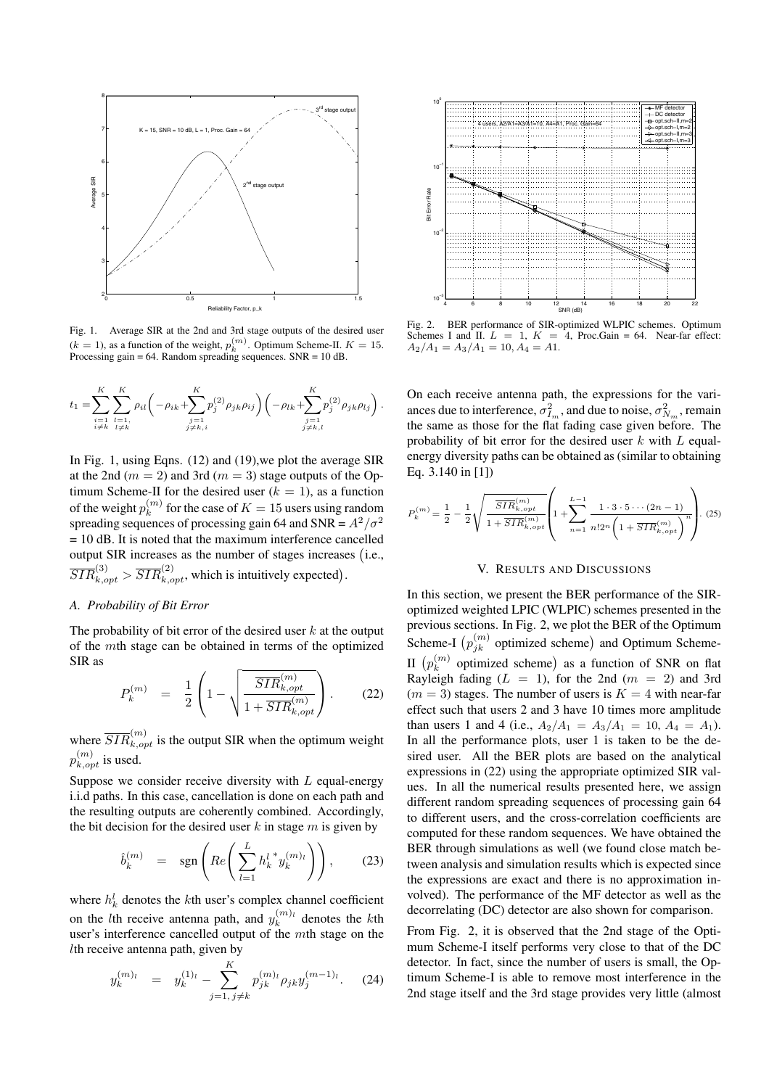

Fig. 1. Average SIR at the 2nd and 3rd stage outputs of the desired user  $(k = 1)$ , as a function of the weight,  $p_k^{(m)}$ . Optimum Scheme-II.  $K = 15$ . Processing gain  $= 64$ . Random spreading sequences. SNR  $= 10$  dB.

$$
t_1 = \sum_{\substack{i=1 \ i \neq k}}^K \sum_{\substack{l=1 \ i \neq k}}^K \rho_{il} \left( -\rho_{ik} + \sum_{\substack{j=1 \ j \neq k,i}}^K p_j^{(2)} \rho_{jk} \rho_{ij} \right) \left( -\rho_{lk} + \sum_{\substack{j=1 \ j \neq k,l}}^K p_j^{(2)} \rho_{jk} \rho_{lj} \right).
$$

In Fig. 1, using Eqns. (12) and (19),we plot the average SIR at the 2nd ( $m = 2$ ) and 3rd ( $m = 3$ ) stage outputs of the Optimum Scheme-II for the desired user  $(k = 1)$ , as a function of the weight  $p_k^{(m)}$  for the case of  $K = 15$  users using random spreading sequences of processing gain 64 and SNR =  $A^2/\sigma^2$ = 10 dB. It is noted that the maximum interference cancelled output SIR increases as the number of stages increases (i.e.,  $\overline{SIR}_{k,opt}^{(3)} > \overline{SIR}_{k,opt}^{(2)}$ , which is intuitively expected).

# *A. Probability of Bit Error*

The probability of bit error of the desired user  $k$  at the output of the mth stage can be obtained in terms of the optimized SIR as

$$
P_k^{(m)} = \frac{1}{2} \left( 1 - \sqrt{\frac{\overline{SIR}_{k,opt}^{(m)}}{1 + \overline{SIR}_{k,opt}^{(m)}}} \right). \tag{22}
$$

where  $\overline{SIR}_{k,opt}^{(m)}$  is the output SIR when the optimum weight  $p_{k,opt}^{(m)}$  is used.

Suppose we consider receive diversity with  $L$  equal-energy i.i.d paths. In this case, cancellation is done on each path and the resulting outputs are coherently combined. Accordingly, the bit decision for the desired user  $k$  in stage  $m$  is given by

$$
\hat{b}_k^{(m)} = \operatorname{sgn}\left(Re\left(\sum_{l=1}^L h_k^{l \, *} y_k^{(m)_l}\right)\right),\tag{23}
$$

where  $h_k^l$  denotes the *k*th user's complex channel coefficient on the *l*th receive antenna path, and  $y_k^{(m)_l}$  denotes the *k*th user's interference cancelled output of the mth stage on the lth receive antenna path, given by

$$
y_k^{(m)_l} = y_k^{(1)_l} - \sum_{j=1, j \neq k}^{K} p_{jk}^{(m)_l} \rho_{jk} y_j^{(m-1)_l}.
$$
 (24)



Fig. 2. BER performance of SIR-optimized WLPIC schemes. Optimum Schemes I and II.  $L = 1$ ,  $K = 4$ , Proc. Gain = 64. Near-far effect:  $4$ , Proc.Gain = 64. Near-far effect:  $A_2/A_1 = A_3/A_1 = 10, A_4 = A1.$ 

On each receive antenna path, the expressions for the variances due to interference,  $\sigma_{I_m}^2$ , and due to noise,  $\sigma_{N_m}^2$ , remain the same as those for the flat fading case given before. The probability of bit error for the desired user  $k$  with  $L$  equalenergy diversity paths can be obtained as (similar to obtaining Eq. 3.140 in [1])

$$
P_k^{(m)} = \frac{1}{2} - \frac{1}{2} \sqrt{\frac{\overline{SIR}_{k,opt}^{(m)}}{1 + \overline{SIR}_{k,opt}^{(m)}}} \left( 1 + \sum_{n=1}^{L-1} \frac{1 \cdot 3 \cdot 5 \cdots (2n-1)}{n! 2^n \left( 1 + \overline{SIR}_{k,opt}^{(m)} \right)^n} \right). (25)
$$

## V. RESULTS AND DISCUSSIONS

In this section, we present the BER performance of the SIRoptimized weighted LPIC (WLPIC) schemes presented in the previous sections. In Fig. 2, we plot the BER of the Optimum Scheme-I  $(p_{jk}^{(m)}$  optimized scheme) and Optimum Scheme-II  $(p_k^{(m)}$  optimized scheme) as a function of SNR on flat Rayleigh fading  $(L = 1)$ , for the 2nd  $(m = 2)$  and 3rd  $(m = 3)$  stages. The number of users is  $K = 4$  with near-far effect such that users 2 and 3 have 10 times more amplitude than users 1 and 4 (i.e.,  $A_2/A_1 = A_3/A_1 = 10$ ,  $A_4 = A_1$ ). In all the performance plots, user 1 is taken to be the desired user. All the BER plots are based on the analytical expressions in (22) using the appropriate optimized SIR values. In all the numerical results presented here, we assign different random spreading sequences of processing gain 64 to different users, and the cross-correlation coefficients are computed for these random sequences. We have obtained the BER through simulations as well (we found close match between analysis and simulation results which is expected since the expressions are exact and there is no approximation involved). The performance of the MF detector as well as the decorrelating (DC) detector are also shown for comparison.

From Fig. 2, it is observed that the 2nd stage of the Optimum Scheme-I itself performs very close to that of the DC detector. In fact, since the number of users is small, the Optimum Scheme-I is able to remove most interference in the 2nd stage itself and the 3rd stage provides very little (almost